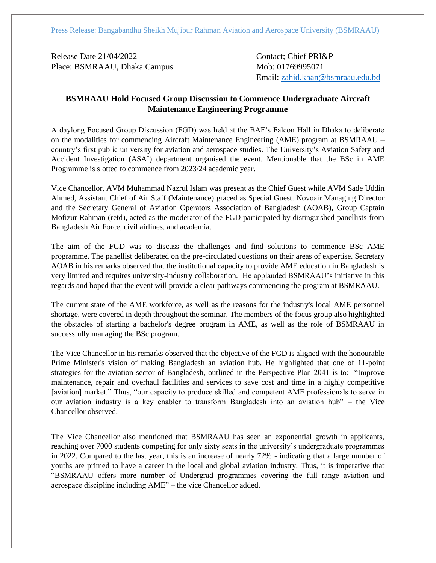Release Date 21/04/2022 Contact: Chief PRI&P Place: BSMRAAU, Dhaka Campus Mob: 01769995071

Email: [zahid.khan@bsmraau.edu.bd](mailto:zahid.khan@bsmraau.edu.bd)

## **BSMRAAU Hold Focused Group Discussion to Commence Undergraduate Aircraft Maintenance Engineering Programme**

A daylong Focused Group Discussion (FGD) was held at the BAF's Falcon Hall in Dhaka to deliberate on the modalities for commencing Aircraft Maintenance Engineering (AME) program at BSMRAAU – country's first public university for aviation and aerospace studies. The University's Aviation Safety and Accident Investigation (ASAI) department organised the event. Mentionable that the BSc in AME Programme is slotted to commence from 2023/24 academic year.

Vice Chancellor, AVM Muhammad Nazrul Islam was present as the Chief Guest while AVM Sade Uddin Ahmed, Assistant Chief of Air Staff (Maintenance) graced as Special Guest. Novoair Managing Director and the Secretary General of Aviation Operators Association of Bangladesh (AOAB), Group Captain Mofizur Rahman (retd), acted as the moderator of the FGD participated by distinguished panellists from Bangladesh Air Force, civil airlines, and academia.

The aim of the FGD was to discuss the challenges and find solutions to commence BSc AME programme. The panellist deliberated on the pre-circulated questions on their areas of expertise. Secretary AOAB in his remarks observed that the institutional capacity to provide AME education in Bangladesh is very limited and requires university-industry collaboration. He applauded BSMRAAU's initiative in this regards and hoped that the event will provide a clear pathways commencing the program at BSMRAAU.

The current state of the AME workforce, as well as the reasons for the industry's local AME personnel shortage, were covered in depth throughout the seminar. The members of the focus group also highlighted the obstacles of starting a bachelor's degree program in AME, as well as the role of BSMRAAU in successfully managing the BSc program.

The Vice Chancellor in his remarks observed that the objective of the FGD is aligned with the honourable Prime Minister's vision of making Bangladesh an aviation hub. He highlighted that one of 11-point strategies for the aviation sector of Bangladesh, outlined in the Perspective Plan 2041 is to: "Improve maintenance, repair and overhaul facilities and services to save cost and time in a highly competitive [aviation] market." Thus, "our capacity to produce skilled and competent AME professionals to serve in our aviation industry is a key enabler to transform Bangladesh into an aviation hub" – the Vice Chancellor observed.

The Vice Chancellor also mentioned that BSMRAAU has seen an exponential growth in applicants, reaching over 7000 students competing for only sixty seats in the university's undergraduate programmes in 2022. Compared to the last year, this is an increase of nearly 72% - indicating that a large number of youths are primed to have a career in the local and global aviation industry. Thus, it is imperative that "BSMRAAU offers more number of Undergrad programmes covering the full range aviation and aerospace discipline including AME" – the vice Chancellor added.